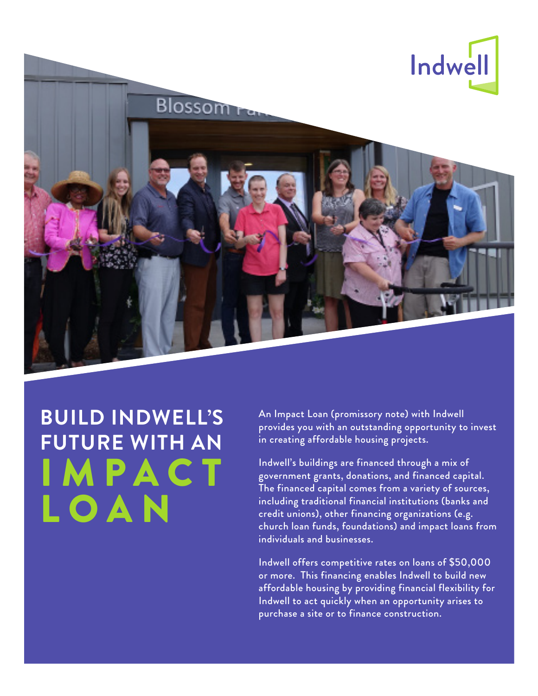

**BUILD INDWELL'S FUTURE WITH AN** I M P A C T LOAN

An Impact Loan (promissory note) with Indwell provides you with an outstanding opportunity to invest in creating affordable housing projects.

Indwell's buildings are financed through a mix of government grants, donations, and financed capital. The financed capital comes from a variety of sources, including traditional financial institutions (banks and credit unions), other financing organizations (e.g. church loan funds, foundations) and impact loans from individuals and businesses.

Indwell offers competitive rates on loans of \$50,000 or more. This financing enables Indwell to build new affordable housing by providing financial flexibility for Indwell to act quickly when an opportunity arises to purchase a site or to finance construction.